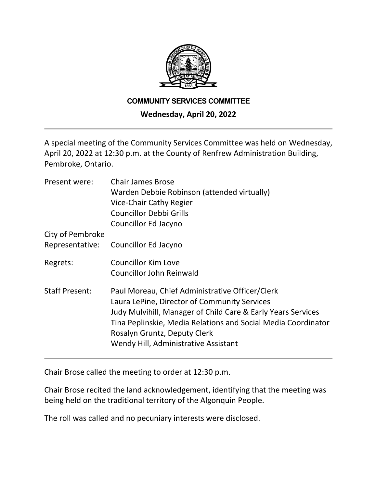

#### **COMMUNITY SERVICES COMMITTEE**

### **Wednesday, April 20, 2022**

A special meeting of the Community Services Committee was held on Wednesday, April 20, 2022 at 12:30 p.m. at the County of Renfrew Administration Building, Pembroke, Ontario.

| Present were:         | <b>Chair James Brose</b>                                      |
|-----------------------|---------------------------------------------------------------|
|                       | Warden Debbie Robinson (attended virtually)                   |
|                       | Vice-Chair Cathy Regier                                       |
|                       | <b>Councillor Debbi Grills</b>                                |
|                       | Councillor Ed Jacyno                                          |
| City of Pembroke      |                                                               |
| Representative:       | Councillor Ed Jacyno                                          |
| Regrets:              | <b>Councillor Kim Love</b>                                    |
|                       | Councillor John Reinwald                                      |
| <b>Staff Present:</b> | Paul Moreau, Chief Administrative Officer/Clerk               |
|                       | Laura LePine, Director of Community Services                  |
|                       | Judy Mulvihill, Manager of Child Care & Early Years Services  |
|                       | Tina Peplinskie, Media Relations and Social Media Coordinator |
|                       | Rosalyn Gruntz, Deputy Clerk                                  |
|                       | Wendy Hill, Administrative Assistant                          |
|                       |                                                               |

Chair Brose called the meeting to order at 12:30 p.m.

Chair Brose recited the land acknowledgement, identifying that the meeting was being held on the traditional territory of the Algonquin People.

The roll was called and no pecuniary interests were disclosed.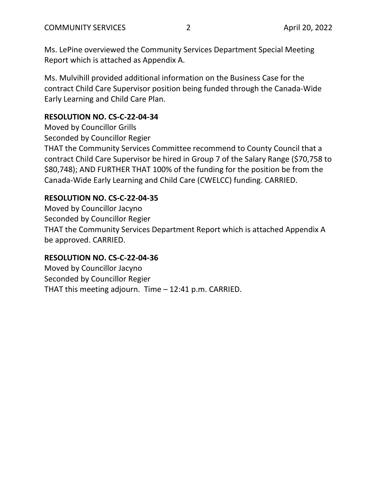Ms. LePine overviewed the Community Services Department Special Meeting Report which is attached as Appendix A.

Ms. Mulvihill provided additional information on the Business Case for the contract Child Care Supervisor position being funded through the Canada-Wide Early Learning and Child Care Plan.

# **RESOLUTION NO. CS-C-22-04-34**

Moved by Councillor Grills

Seconded by Councillor Regier

THAT the Community Services Committee recommend to County Council that a contract Child Care Supervisor be hired in Group 7 of the Salary Range (\$70,758 to \$80,748); AND FURTHER THAT 100% of the funding for the position be from the Canada-Wide Early Learning and Child Care (CWELCC) funding. CARRIED.

# **RESOLUTION NO. CS-C-22-04-35**

Moved by Councillor Jacyno Seconded by Councillor Regier THAT the Community Services Department Report which is attached Appendix A be approved. CARRIED.

# **RESOLUTION NO. CS-C-22-04-36**

Moved by Councillor Jacyno Seconded by Councillor Regier THAT this meeting adjourn. Time – 12:41 p.m. CARRIED.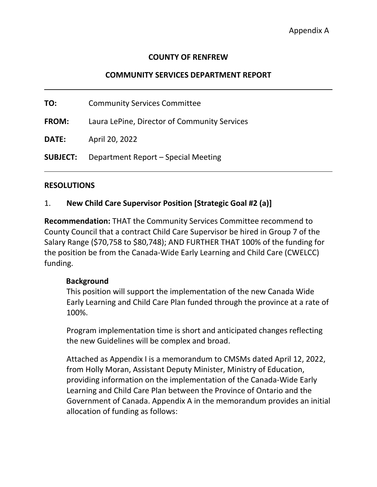### **COUNTY OF RENFREW**

### **COMMUNITY SERVICES DEPARTMENT REPORT**

**TO:** Community Services Committee

**FROM:** Laura LePine, Director of Community Services

**DATE:** April 20, 2022

**SUBJECT:** Department Report – Special Meeting

#### **RESOLUTIONS**

### 1. **New Child Care Supervisor Position [Strategic Goal #2 (a)]**

**Recommendation:** THAT the Community Services Committee recommend to County Council that a contract Child Care Supervisor be hired in Group 7 of the Salary Range (\$70,758 to \$80,748); AND FURTHER THAT 100% of the funding for the position be from the Canada-Wide Early Learning and Child Care (CWELCC) funding.

### **Background**

This position will support the implementation of the new Canada Wide Early Learning and Child Care Plan funded through the province at a rate of 100%.

Program implementation time is short and anticipated changes reflecting the new Guidelines will be complex and broad.

Attached as Appendix I is a memorandum to CMSMs dated April 12, 2022, from Holly Moran, Assistant Deputy Minister, Ministry of Education, providing information on the implementation of the Canada-Wide Early Learning and Child Care Plan between the Province of Ontario and the Government of Canada. Appendix A in the memorandum provides an initial allocation of funding as follows: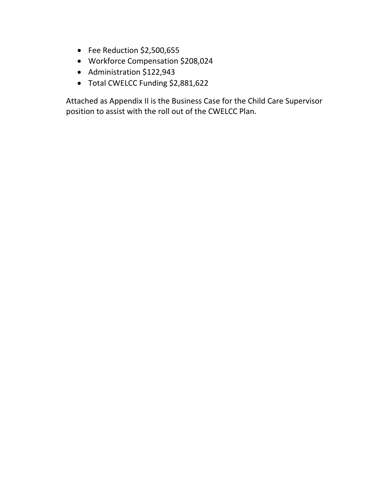- Fee Reduction \$2,500,655
- Workforce Compensation \$208,024
- Administration \$122,943
- Total CWELCC Funding \$2,881,622

Attached as Appendix II is the Business Case for the Child Care Supervisor position to assist with the roll out of the CWELCC Plan.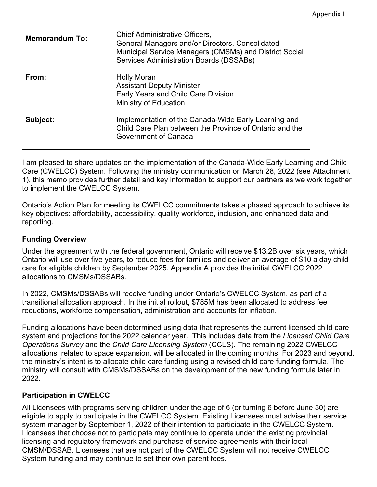| <b>Memorandum To:</b> | Chief Administrative Officers,<br>General Managers and/or Directors, Consolidated<br>Municipal Service Managers (CMSMs) and District Social<br>Services Administration Boards (DSSABs) |
|-----------------------|----------------------------------------------------------------------------------------------------------------------------------------------------------------------------------------|
| From:                 | <b>Holly Moran</b><br><b>Assistant Deputy Minister</b><br><b>Early Years and Child Care Division</b><br><b>Ministry of Education</b>                                                   |
| Subject:              | Implementation of the Canada-Wide Early Learning and<br>Child Care Plan between the Province of Ontario and the<br>Government of Canada                                                |

I am pleased to share updates on the implementation of the Canada-Wide Early Learning and Child Care (CWELCC) System. Following the ministry communication on March 28, 2022 (see Attachment 1), this memo provides further detail and key information to support our partners as we work together to implement the CWELCC System.

Ontario's Action Plan for meeting its CWELCC commitments takes a phased approach to achieve its key objectives: affordability, accessibility, quality workforce, inclusion, and enhanced data and reporting.

#### **Funding Overview**

Under the agreement with the federal government, Ontario will receive \$13.2B over six years, which Ontario will use over five years, to reduce fees for families and deliver an average of \$10 a day child care for eligible children by September 2025. Appendix A provides the initial CWELCC 2022 allocations to CMSMs/DSSABs.

In 2022, CMSMs/DSSABs will receive funding under Ontario's CWELCC System, as part of a transitional allocation approach. In the initial rollout, \$785M has been allocated to address fee reductions, workforce compensation, administration and accounts for inflation.

Funding allocations have been determined using data that represents the current licensed child care system and projections for the 2022 calendar year. This includes data from the *Licensed Child Care Operations Survey* and the *Child Care Licensing System* (CCLS). The remaining 2022 CWELCC allocations, related to space expansion, will be allocated in the coming months. For 2023 and beyond, the ministry's intent is to allocate child care funding using a revised child care funding formula. The ministry will consult with CMSMs/DSSABs on the development of the new funding formula later in 2022.

#### **Participation in CWELCC**

All Licensees with programs serving children under the age of 6 (or turning 6 before June 30) are eligible to apply to participate in the CWELCC System. Existing Licensees must advise their service system manager by September 1, 2022 of their intention to participate in the CWELCC System. Licensees that choose not to participate may continue to operate under the existing provincial licensing and regulatory framework and purchase of service agreements with their local CMSM/DSSAB. Licensees that are not part of the CWELCC System will not receive CWELCC System funding and may continue to set their own parent fees.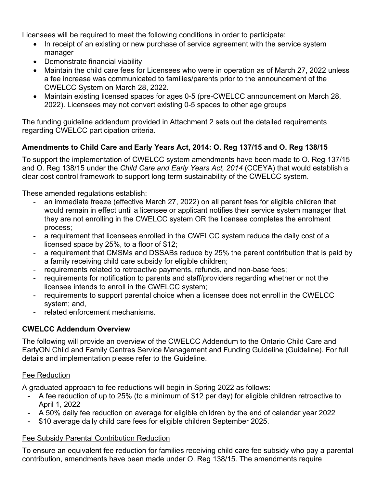Licensees will be required to meet the following conditions in order to participate:

- In receipt of an existing or new purchase of service agreement with the service system manager
- Demonstrate financial viability
- Maintain the child care fees for Licensees who were in operation as of March 27, 2022 unless a fee increase was communicated to families/parents prior to the announcement of the CWELCC System on March 28, 2022.
- Maintain existing licensed spaces for ages 0-5 (pre-CWELCC announcement on March 28, 2022). Licensees may not convert existing 0-5 spaces to other age groups

The funding guideline addendum provided in Attachment 2 sets out the detailed requirements regarding CWELCC participation criteria.

# **Amendments to Child Care and Early Years Act, 2014: O. Reg 137/15 and O. Reg 138/15**

To support the implementation of CWELCC system amendments have been made to O. Reg 137/15 and O. Reg 138/15 under the *Child Care and Early Years Act, 2014* (CCEYA) that would establish a clear cost control framework to support long term sustainability of the CWELCC system.

These amended regulations establish:

- an immediate freeze (effective March 27, 2022) on all parent fees for eligible children that would remain in effect until a licensee or applicant notifies their service system manager that they are not enrolling in the CWELCC system OR the licensee completes the enrolment process;
- a requirement that licensees enrolled in the CWELCC system reduce the daily cost of a licensed space by 25%, to a floor of \$12;
- a requirement that CMSMs and DSSABs reduce by 25% the parent contribution that is paid by a family receiving child care subsidy for eligible children;
- requirements related to retroactive payments, refunds, and non-base fees;
- requirements for notification to parents and staff/providers regarding whether or not the licensee intends to enroll in the CWELCC system;
- requirements to support parental choice when a licensee does not enroll in the CWELCC system; and,
- related enforcement mechanisms.

# **CWELCC Addendum Overview**

The following will provide an overview of the CWELCC Addendum to the Ontario Child Care and EarlyON Child and Family Centres Service Management and Funding Guideline (Guideline). For full details and implementation please refer to the Guideline.

### Fee Reduction

A graduated approach to fee reductions will begin in Spring 2022 as follows:

- A fee reduction of up to 25% (to a minimum of \$12 per day) for eligible children retroactive to April 1, 2022
- A 50% daily fee reduction on average for eligible children by the end of calendar year 2022
- \$10 average daily child care fees for eligible children September 2025.

# Fee Subsidy Parental Contribution Reduction

To ensure an equivalent fee reduction for families receiving child care fee subsidy who pay a parental contribution, amendments have been made under O. Reg 138/15. The amendments require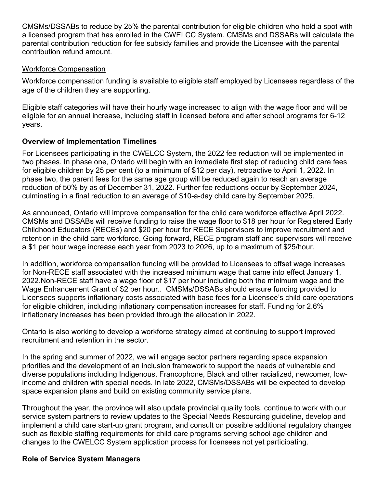CMSMs/DSSABs to reduce by 25% the parental contribution for eligible children who hold a spot with a licensed program that has enrolled in the CWELCC System. CMSMs and DSSABs will calculate the parental contribution reduction for fee subsidy families and provide the Licensee with the parental contribution refund amount.

#### Workforce Compensation

Workforce compensation funding is available to eligible staff employed by Licensees regardless of the age of the children they are supporting.

Eligible staff categories will have their hourly wage increased to align with the wage floor and will be eligible for an annual increase, including staff in licensed before and after school programs for 6-12 years.

### **Overview of Implementation Timelines**

For Licensees participating in the CWELCC System, the 2022 fee reduction will be implemented in two phases. In phase one, Ontario will begin with an immediate first step of reducing child care fees for eligible children by 25 per cent (to a minimum of \$12 per day), retroactive to April 1, 2022. In phase two, the parent fees for the same age group will be reduced again to reach an average reduction of 50% by as of December 31, 2022. Further fee reductions occur by September 2024, culminating in a final reduction to an average of \$10-a-day child care by September 2025.

As announced, Ontario will improve compensation for the child care workforce effective April 2022. CMSMs and DSSABs will receive funding to raise the wage floor to \$18 per hour for Registered Early Childhood Educators (RECEs) and \$20 per hour for RECE Supervisors to improve recruitment and retention in the child care workforce. Going forward, RECE program staff and supervisors will receive a \$1 per hour wage increase each year from 2023 to 2026, up to a maximum of \$25/hour.

In addition, workforce compensation funding will be provided to Licensees to offset wage increases for Non-RECE staff associated with the increased minimum wage that came into effect January 1, 2022.Non-RECE staff have a wage floor of \$17 per hour including both the minimum wage and the Wage Enhancement Grant of \$2 per hour.. CMSMs/DSSABs should ensure funding provided to Licensees supports inflationary costs associated with base fees for a Licensee's child care operations for eligible children, including inflationary compensation increases for staff. Funding for 2.6% inflationary increases has been provided through the allocation in 2022.

Ontario is also working to develop a workforce strategy aimed at continuing to support improved recruitment and retention in the sector.

In the spring and summer of 2022, we will engage sector partners regarding space expansion priorities and the development of an inclusion framework to support the needs of vulnerable and diverse populations including Indigenous, Francophone, Black and other racialized, newcomer, lowincome and children with special needs. In late 2022, CMSMs/DSSABs will be expected to develop space expansion plans and build on existing community service plans.

Throughout the year, the province will also update provincial quality tools, continue to work with our service system partners to review updates to the Special Needs Resourcing guideline, develop and implement a child care start-up grant program, and consult on possible additional regulatory changes such as flexible staffing requirements for child care programs serving school age children and changes to the CWELCC System application process for licensees not yet participating.

#### **Role of Service System Managers**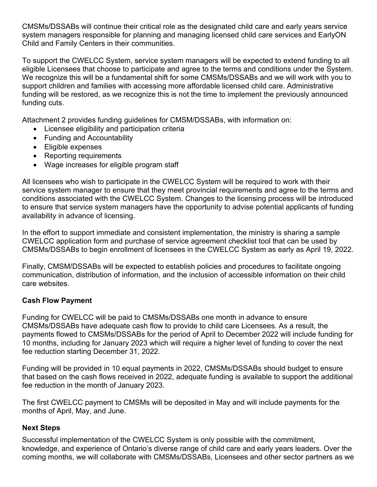CMSMs/DSSABs will continue their critical role as the designated child care and early years service system managers responsible for planning and managing licensed child care services and EarlyON Child and Family Centers in their communities.

To support the CWELCC System, service system managers will be expected to extend funding to all eligible Licensees that choose to participate and agree to the terms and conditions under the System. We recognize this will be a fundamental shift for some CMSMs/DSSABs and we will work with you to support children and families with accessing more affordable licensed child care. Administrative funding will be restored, as we recognize this is not the time to implement the previously announced funding cuts.

Attachment 2 provides funding guidelines for CMSM/DSSABs, with information on:

- Licensee eligibility and participation criteria
- Funding and Accountability
- Eligible expenses
- Reporting requirements
- Wage increases for eligible program staff

All licensees who wish to participate in the CWELCC System will be required to work with their service system manager to ensure that they meet provincial requirements and agree to the terms and conditions associated with the CWELCC System. Changes to the licensing process will be introduced to ensure that service system managers have the opportunity to advise potential applicants of funding availability in advance of licensing.

In the effort to support immediate and consistent implementation, the ministry is sharing a sample CWELCC application form and purchase of service agreement checklist tool that can be used by CMSMs/DSSABs to begin enrollment of licensees in the CWELCC System as early as April 19, 2022.

Finally, CMSM/DSSABs will be expected to establish policies and procedures to facilitate ongoing communication, distribution of information, and the inclusion of accessible information on their child care websites.

# **Cash Flow Payment**

Funding for CWELCC will be paid to CMSMs/DSSABs one month in advance to ensure CMSMs/DSSABs have adequate cash flow to provide to child care Licensees. As a result, the payments flowed to CMSMs/DSSABs for the period of April to December 2022 will include funding for 10 months, including for January 2023 which will require a higher level of funding to cover the next fee reduction starting December 31, 2022.

Funding will be provided in 10 equal payments in 2022, CMSMs/DSSABs should budget to ensure that based on the cash flows received in 2022, adequate funding is available to support the additional fee reduction in the month of January 2023.

The first CWELCC payment to CMSMs will be deposited in May and will include payments for the months of April, May, and June.

### **Next Steps**

Successful implementation of the CWELCC System is only possible with the commitment, knowledge, and experience of Ontario's diverse range of child care and early years leaders. Over the coming months, we will collaborate with CMSMs/DSSABs, Licensees and other sector partners as we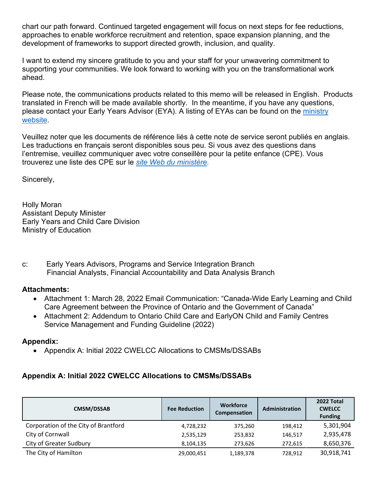chart our path forward. Continued targeted engagement will focus on next steps for fee reductions, approaches to enable workforce recruitment and retention, space expansion planning, and the development of frameworks to support directed growth, inclusion, and quality.

I want to extend my sincere gratitude to you and your staff for your unwavering commitment to supporting your communities. We look forward to working with you on the transformational work ahead.

Please note, the communications products related to this memo will be released in English. Products translated in French will be made available shortly. In the meantime, if you have any questions, please contact your Early Years Advisor (EYA). A listing of EYAs can be found on the ministry [website.](https://efis.fma.csc.gov.on.ca/faab/Contact_Us.htm)

Veuillez noter que les documents de référence liés à cette note de service seront publiés en anglais. Les traductions en français seront disponibles sous peu. Si vous avez des questions dans l'entremise, veuillez communiquer avec votre conseillère pour la petite enfance (CPE). Vous trouverez une liste des CPE sur le *[site Web du ministère.](https://efis.fma.csc.gov.on.ca/faab/Contact_Us_F.htm)*

Sincerely,

Holly Moran Assistant Deputy Minister Early Years and Child Care Division Ministry of Education

c: Early Years Advisors, Programs and Service Integration Branch Financial Analysts, Financial Accountability and Data Analysis Branch

### **Attachments:**

- Attachment 1: March 28, 2022 Email Communication: "Canada-Wide Early Learning and Child Care Agreement between the Province of Ontario and the Government of Canada"
- Attachment 2: Addendum to Ontario Child Care and EarlyON Child and Family Centres Service Management and Funding Guideline (2022)

# **Appendix:**

• Appendix A: Initial 2022 CWELCC Allocations to CMSMs/DSSABs

# **Appendix A: Initial 2022 CWELCC Allocations to CMSMs/DSSABs**

| <b>CMSM/DSSAB</b>                    | <b>Fee Reduction</b> | <b>Workforce</b><br>Compensation | Administration | 2022 Total<br><b>CWELCC</b><br><b>Funding</b> |
|--------------------------------------|----------------------|----------------------------------|----------------|-----------------------------------------------|
| Corporation of the City of Brantford | 4,728,232            | 375,260                          | 198,412        | 5,301,904                                     |
| City of Cornwall                     | 2,535,129            | 253,832                          | 146.517        | 2,935,478                                     |
| City of Greater Sudbury              | 8,104,135            | 273,626                          | 272,615        | 8,650,376                                     |
| The City of Hamilton                 | 29,000,451           | 1,189,378                        | 728.912        | 30,918,741                                    |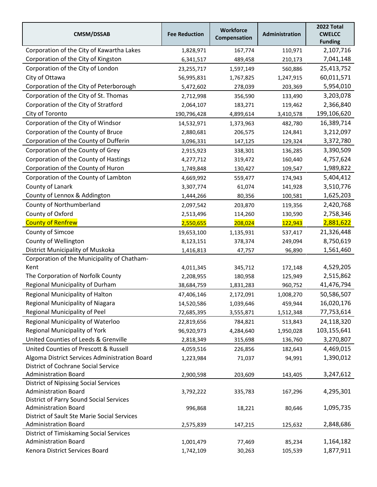| <b>CMSM/DSSAB</b>                                                             | <b>Fee Reduction</b> | <b>Workforce</b><br>Compensation | Administration | 2022 Total<br><b>CWELCC</b><br><b>Funding</b> |
|-------------------------------------------------------------------------------|----------------------|----------------------------------|----------------|-----------------------------------------------|
| Corporation of the City of Kawartha Lakes                                     | 1,828,971            | 167,774                          | 110,971        | 2,107,716                                     |
| Corporation of the City of Kingston                                           | 6,341,517            | 489,458                          | 210,173        | 7,041,148                                     |
| Corporation of the City of London                                             | 23, 255, 717         | 1,597,149                        | 560,886        | 25,413,752                                    |
| City of Ottawa                                                                | 56,995,831           | 1,767,825                        | 1,247,915      | 60,011,571                                    |
| Corporation of the City of Peterborough                                       | 5,472,602            | 278,039                          | 203,369        | 5,954,010                                     |
| Corporation of the City of St. Thomas                                         | 2,712,998            | 356,590                          | 133,490        | 3,203,078                                     |
| Corporation of the City of Stratford                                          | 2,064,107            | 183,271                          | 119,462        | 2,366,840                                     |
| City of Toronto                                                               | 190,796,428          | 4,899,614                        | 3,410,578      | 199,106,620                                   |
| Corporation of the City of Windsor                                            | 14,532,971           | 1,373,963                        | 482,780        | 16,389,714                                    |
| Corporation of the County of Bruce                                            | 2,880,681            | 206,575                          | 124,841        | 3,212,097                                     |
| Corporation of the County of Dufferin                                         | 3,096,331            | 147,125                          | 129,324        | 3,372,780                                     |
| Corporation of the County of Grey                                             | 2,915,923            | 338,301                          | 136,285        | 3,390,509                                     |
| Corporation of the County of Hastings                                         | 4,277,712            | 319,472                          | 160,440        | 4,757,624                                     |
| Corporation of the County of Huron                                            | 1,749,848            | 130,427                          | 109,547        | 1,989,822                                     |
| Corporation of the County of Lambton                                          | 4,669,992            | 559,477                          | 174,943        | 5,404,412                                     |
| County of Lanark                                                              | 3,307,774            | 61,074                           | 141,928        | 3,510,776                                     |
| County of Lennox & Addington                                                  | 1,444,266            | 80,356                           | 100,581        | 1,625,203                                     |
| County of Northumberland                                                      | 2,097,542            | 203,870                          | 119,356        | 2,420,768                                     |
| County of Oxford                                                              | 2,513,496            | 114,260                          | 130,590        | 2,758,346                                     |
| <b>County of Renfrew</b>                                                      | 2,550,655            | 208,024                          | 122,943        | 2,881,622                                     |
| County of Simcoe                                                              | 19,653,100           | 1,135,931                        | 537,417        | 21,326,448                                    |
| County of Wellington                                                          | 8,123,151            | 378,374                          | 249,094        | 8,750,619                                     |
| District Municipality of Muskoka                                              | 1,416,813            | 47,757                           | 96,890         | 1,561,460                                     |
| Corporation of the Municipality of Chatham-                                   |                      |                                  |                |                                               |
| Kent                                                                          | 4,011,345            | 345,712                          | 172,148        | 4,529,205                                     |
| The Corporation of Norfolk County                                             | 2,208,955            | 180,958                          | 125,949        | 2,515,862                                     |
| Regional Municipality of Durham                                               | 38,684,759           | 1,831,283                        | 960,752        | 41,476,794                                    |
| Regional Municipality of Halton                                               | 47,406,146           | 2,172,091                        | 1,008,270      | 50,586,507                                    |
| Regional Municipality of Niagara                                              | 14,520,586           | 1,039,646                        | 459,944        | 16,020,176                                    |
| Regional Municipality of Peel                                                 | 72,685,395           | 3,555,871                        | 1,512,348      | 77,753,614                                    |
| Regional Municipality of Waterloo                                             | 22,819,656           | 784,821                          | 513,843        | 24,118,320                                    |
| <b>Regional Municipality of York</b>                                          | 96,920,973           | 4,284,640                        | 1,950,028      | 103,155,641                                   |
| United Counties of Leeds & Grenville                                          | 2,818,349            | 315,698                          | 136,760        | 3,270,807                                     |
| United Counties of Prescott & Russell                                         | 4,059,516            | 226,856                          | 182,643        | 4,469,015                                     |
| Algoma District Services Administration Board                                 | 1,223,984            | 71,037                           | 94,991         | 1,390,012                                     |
| <b>District of Cochrane Social Service</b>                                    |                      |                                  |                |                                               |
| <b>Administration Board</b>                                                   | 2,900,598            | 203,609                          | 143,405        | 3,247,612                                     |
| <b>District of Nipissing Social Services</b>                                  |                      |                                  |                |                                               |
| <b>Administration Board</b>                                                   | 3,792,222            | 335,783                          | 167,296        | 4,295,301                                     |
| <b>District of Parry Sound Social Services</b><br><b>Administration Board</b> |                      | 18,221                           | 80,646         | 1,095,735                                     |
| District of Sault Ste Marie Social Services                                   | 996,868              |                                  |                |                                               |
| <b>Administration Board</b>                                                   | 2,575,839            | 147,215                          | 125,632        | 2,848,686                                     |
| District of Timiskaming Social Services                                       |                      |                                  |                |                                               |
| <b>Administration Board</b>                                                   | 1,001,479            | 77,469                           | 85,234         | 1,164,182                                     |
| Kenora District Services Board                                                | 1,742,109            | 30,263                           | 105,539        | 1,877,911                                     |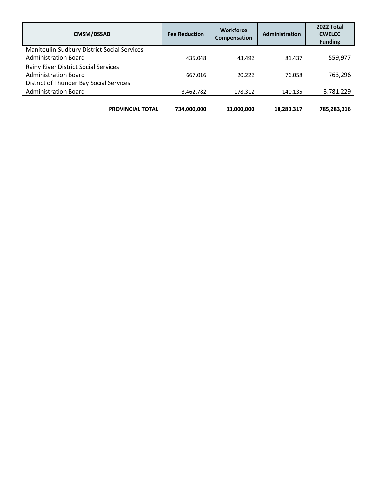| <b>CMSM/DSSAB</b>                           | <b>Fee Reduction</b> | <b>Workforce</b><br>Compensation | Administration | 2022 Total<br><b>CWELCC</b><br><b>Funding</b> |
|---------------------------------------------|----------------------|----------------------------------|----------------|-----------------------------------------------|
| Manitoulin-Sudbury District Social Services |                      |                                  |                |                                               |
| <b>Administration Board</b>                 | 435,048              | 43,492                           | 81,437         | 559,977                                       |
| Rainy River District Social Services        |                      |                                  |                |                                               |
| <b>Administration Board</b>                 | 667,016              | 20,222                           | 76.058         | 763.296                                       |
| District of Thunder Bay Social Services     |                      |                                  |                |                                               |
| <b>Administration Board</b>                 | 3,462,782            | 178,312                          | 140,135        | 3,781,229                                     |
| <b>PROVINCIAL TOTAL</b>                     | 734,000,000          | 33,000,000                       | 18,283,317     | 785,283,316                                   |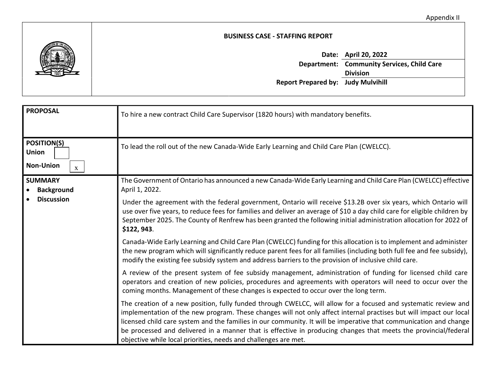

#### **BUSINESS CASE - STAFFING REPORT**

|                                           | Date: April 20, 2022                              |
|-------------------------------------------|---------------------------------------------------|
|                                           | <b>Department: Community Services, Child Care</b> |
|                                           | <b>Division</b>                                   |
| <b>Report Prepared by: Judy Mulvihill</b> |                                                   |

| <b>PROPOSAL</b>                                                        | To hire a new contract Child Care Supervisor (1820 hours) with mandatory benefits.                                                                                                                                                                                                                                                                                                                                                                                                                                                               |
|------------------------------------------------------------------------|--------------------------------------------------------------------------------------------------------------------------------------------------------------------------------------------------------------------------------------------------------------------------------------------------------------------------------------------------------------------------------------------------------------------------------------------------------------------------------------------------------------------------------------------------|
| <b>POSITION(S)</b><br><b>Union</b><br><b>Non-Union</b><br>$\mathbf{x}$ | To lead the roll out of the new Canada-Wide Early Learning and Child Care Plan (CWELCC).                                                                                                                                                                                                                                                                                                                                                                                                                                                         |
| <b>SUMMARY</b><br><b>Background</b>                                    | The Government of Ontario has announced a new Canada-Wide Early Learning and Child Care Plan (CWELCC) effective<br>April 1, 2022.                                                                                                                                                                                                                                                                                                                                                                                                                |
| <b>Discussion</b>                                                      | Under the agreement with the federal government, Ontario will receive \$13.2B over six years, which Ontario will<br>use over five years, to reduce fees for families and deliver an average of \$10 a day child care for eligible children by<br>September 2025. The County of Renfrew has been granted the following initial administration allocation for 2022 of<br>\$122, 943.                                                                                                                                                               |
|                                                                        | Canada-Wide Early Learning and Child Care Plan (CWELCC) funding for this allocation is to implement and administer<br>the new program which will significantly reduce parent fees for all families (including both full fee and fee subsidy),<br>modify the existing fee subsidy system and address barriers to the provision of inclusive child care.                                                                                                                                                                                           |
|                                                                        | A review of the present system of fee subsidy management, administration of funding for licensed child care<br>operators and creation of new policies, procedures and agreements with operators will need to occur over the<br>coming months. Management of these changes is expected to occur over the long term.                                                                                                                                                                                                                               |
|                                                                        | The creation of a new position, fully funded through CWELCC, will allow for a focused and systematic review and<br>implementation of the new program. These changes will not only affect internal practises but will impact our local<br>licensed child care system and the families in our community. It will be imperative that communication and change<br>be processed and delivered in a manner that is effective in producing changes that meets the provincial/federal<br>objective while local priorities, needs and challenges are met. |